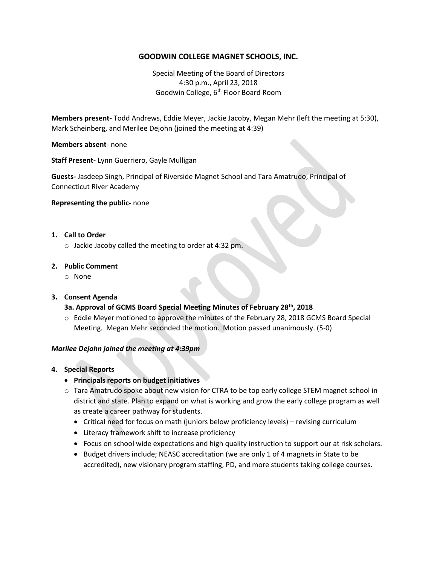# **GOODWIN COLLEGE MAGNET SCHOOLS, INC.**

Special Meeting of the Board of Directors 4:30 p.m., April 23, 2018 Goodwin College, 6<sup>th</sup> Floor Board Room

**Members present-** Todd Andrews, Eddie Meyer, Jackie Jacoby, Megan Mehr (left the meeting at 5:30), Mark Scheinberg, and Merilee Dejohn (joined the meeting at 4:39)

**Members absent**- none

**Staff Present-** Lynn Guerriero, Gayle Mulligan

**Guests-** Jasdeep Singh, Principal of Riverside Magnet School and Tara Amatrudo, Principal of Connecticut River Academy

**Representing the public-** none

## **1. Call to Order**

o Jackie Jacoby called the meeting to order at 4:32 pm.

#### **2. Public Comment**

o None

## **3. Consent Agenda**

## **3a. Approval of GCMS Board Special Meeting Minutes of February 28th, 2018**

o Eddie Meyer motioned to approve the minutes of the February 28, 2018 GCMS Board Special Meeting. Megan Mehr seconded the motion. Motion passed unanimously. (5-0)

## *Marilee Dejohn joined the meeting at 4:39pm*

- **4. Special Reports**
	- **Principals reports on budget initiatives**
	- o Tara Amatrudo spoke about new vision for CTRA to be top early college STEM magnet school in district and state. Plan to expand on what is working and grow the early college program as well as create a career pathway for students.
		- Critical need for focus on math (juniors below proficiency levels) revising curriculum
		- Literacy framework shift to increase proficiency
		- Focus on school wide expectations and high quality instruction to support our at risk scholars.
		- Budget drivers include; NEASC accreditation (we are only 1 of 4 magnets in State to be accredited), new visionary program staffing, PD, and more students taking college courses.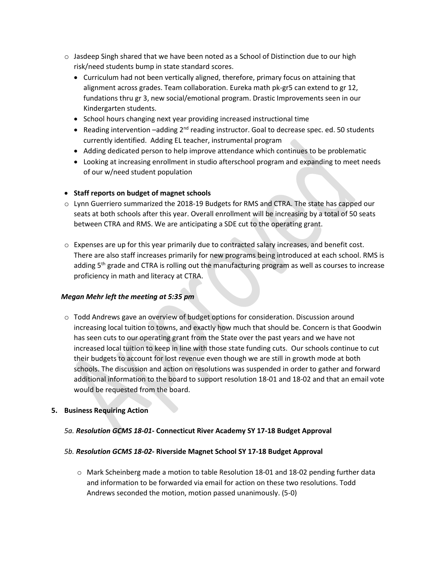- $\circ$  Jasdeep Singh shared that we have been noted as a School of Distinction due to our high risk/need students bump in state standard scores.
	- Curriculum had not been vertically aligned, therefore, primary focus on attaining that alignment across grades. Team collaboration. Eureka math pk-gr5 can extend to gr 12, fundations thru gr 3, new social/emotional program. Drastic Improvements seen in our Kindergarten students.
	- School hours changing next year providing increased instructional time
	- Reading intervention -adding 2<sup>nd</sup> reading instructor. Goal to decrease spec. ed. 50 students currently identified. Adding EL teacher, instrumental program
	- Adding dedicated person to help improve attendance which continues to be problematic
	- Looking at increasing enrollment in studio afterschool program and expanding to meet needs of our w/need student population
- **•** Staff reports on budget of magnet schools
- o Lynn Guerriero summarized the 2018-19 Budgets for RMS and CTRA. The state has capped our seats at both schools after this year. Overall enrollment will be increasing by a total of 50 seats between CTRA and RMS. We are anticipating a SDE cut to the operating grant.
- $\circ$  Expenses are up for this year primarily due to contracted salary increases, and benefit cost. There are also staff increases primarily for new programs being introduced at each school. RMS is adding 5<sup>th</sup> grade and CTRA is rolling out the manufacturing program as well as courses to increase proficiency in math and literacy at CTRA.

# *Megan Mehr left the meeting at 5:35 pm*

o Todd Andrews gave an overview of budget options for consideration. Discussion around increasing local tuition to towns, and exactly how much that should be. Concern is that Goodwin has seen cuts to our operating grant from the State over the past years and we have not increased local tuition to keep in line with those state funding cuts. Our schools continue to cut their budgets to account for lost revenue even though we are still in growth mode at both schools. The discussion and action on resolutions was suspended in order to gather and forward additional information to the board to support resolution 18-01 and 18-02 and that an email vote would be requested from the board.

## **5. Business Requiring Action**

## *5a. Resolution GCMS 18-01***- Connecticut River Academy SY 17-18 Budget Approval**

## *5b. Resolution GCMS 18-02***- Riverside Magnet School SY 17-18 Budget Approval**

o Mark Scheinberg made a motion to table Resolution 18-01 and 18-02 pending further data and information to be forwarded via email for action on these two resolutions. Todd Andrews seconded the motion, motion passed unanimously. (5-0)